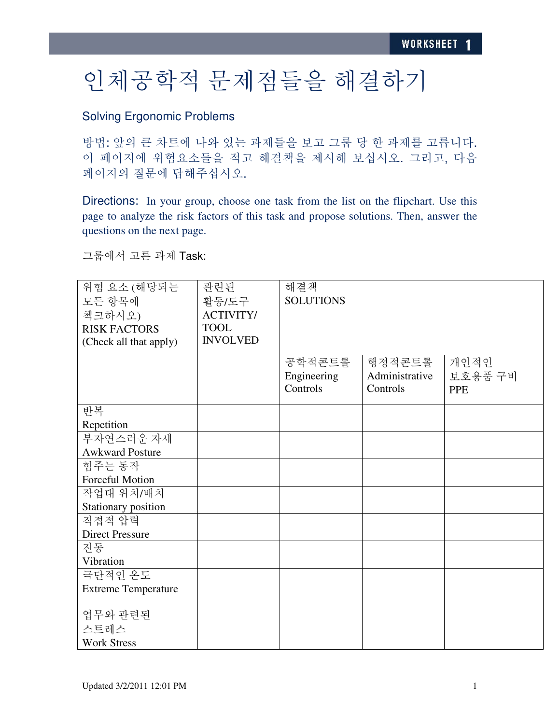## 인체공학적 문제점들을 해결하기

## Solving Ergonomic Problems

방법: 앞의 큰 차트에 나와 있는 과제들을 보고 그룹 당 한 과제를 고릅니다. 이 페이지에 위험요소들을 적고 해결책을 제시해 보십시오. 그리고, 다음 페이지의 질문에 답해주십시오.

Directions: In your group, choose one task from the list on the flipchart. Use this page to analyze the risk factors of this task and propose solutions. Then, answer the questions on the next page.

그룹에서 고른 과제 Task:

| 위험 요소 (해당되는<br>모든 항목에<br>첵크하시오)<br><b>RISK FACTORS</b><br>(Check all that apply) | 관련된<br>활동/도구<br><b>ACTIVITY/</b><br><b>TOOL</b><br><b>INVOLVED</b> | 해결책<br><b>SOLUTIONS</b> |                          |                 |
|----------------------------------------------------------------------------------|--------------------------------------------------------------------|-------------------------|--------------------------|-----------------|
|                                                                                  |                                                                    | 공학적콘트롤<br>Engineering   | 행정적콘트롤<br>Administrative | 개인적인<br>보호용품 구비 |
|                                                                                  |                                                                    | Controls                | Controls                 | <b>PPE</b>      |
| 반복                                                                               |                                                                    |                         |                          |                 |
| Repetition                                                                       |                                                                    |                         |                          |                 |
| 부자연스러운 자세                                                                        |                                                                    |                         |                          |                 |
| <b>Awkward Posture</b>                                                           |                                                                    |                         |                          |                 |
| 힘주는 동작                                                                           |                                                                    |                         |                          |                 |
| Forceful Motion                                                                  |                                                                    |                         |                          |                 |
| 작업대 위치/배치                                                                        |                                                                    |                         |                          |                 |
| Stationary position                                                              |                                                                    |                         |                          |                 |
| 직접적 압력                                                                           |                                                                    |                         |                          |                 |
| <b>Direct Pressure</b>                                                           |                                                                    |                         |                          |                 |
| 진동                                                                               |                                                                    |                         |                          |                 |
| Vibration                                                                        |                                                                    |                         |                          |                 |
| 극단적인 온도                                                                          |                                                                    |                         |                          |                 |
| <b>Extreme Temperature</b>                                                       |                                                                    |                         |                          |                 |
| 업무와 관련된<br>스트레스                                                                  |                                                                    |                         |                          |                 |
| <b>Work Stress</b>                                                               |                                                                    |                         |                          |                 |